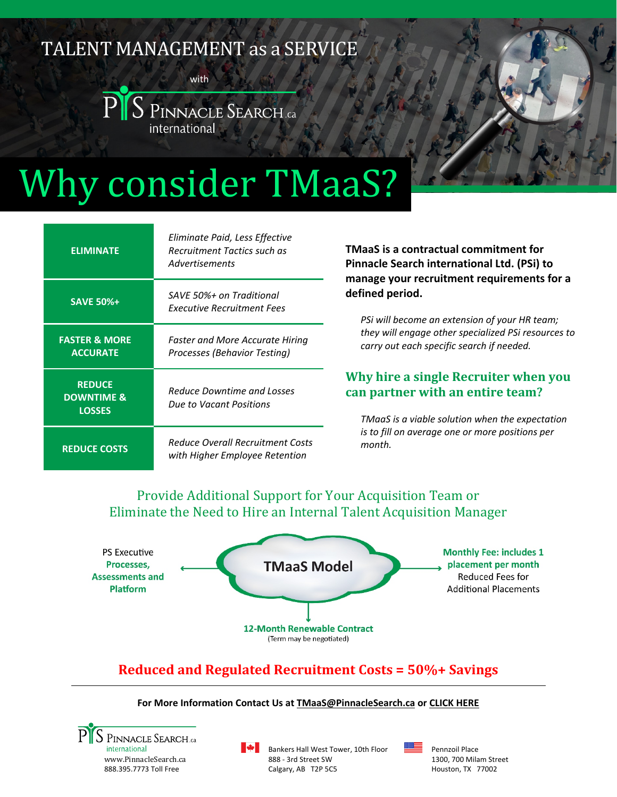# TALENT MANAGEMENT as a SERVICE





# Why consider TMaaS?

| <b>ELIMINATE</b>                                        | Eliminate Paid, Less Effective<br><b>Recruitment Tactics such as</b><br>Advertisements |
|---------------------------------------------------------|----------------------------------------------------------------------------------------|
| <b>SAVE 50%+</b>                                        | SAVE 50%+ on Traditional<br><b>Executive Recruitment Fees</b>                          |
| <b>FASTER &amp; MORE</b><br><b>ACCURATE</b>             | <b>Faster and More Accurate Hiring</b><br>Processes (Behavior Testing)                 |
| <b>REDUCE</b><br><b>DOWNTIME &amp;</b><br><b>LOSSES</b> | <b>Reduce Downtime and Losses</b><br>Due to Vacant Positions                           |
| <b>REDUCE COSTS</b>                                     | Reduce Overall Recruitment Costs<br>with Higher Employee Retention                     |

**TMaaS is a contractual commitment for Pinnacle Search international Ltd. (PSi) to manage your recruitment requirements for a defined period.**

*PSi will become an extension of your HR team; they will engage other specialized PSi resources to carry out each specific search if needed.*

## **Why hire a single Recruiter when you can partner with an entire team?**

*TMaaS is a viable solution when the expectation is to fill on average one or more positions per month.*

# Provide Additional Support for Your Acquisition Team or Eliminate the Need to Hire an Internal Talent Acquisition Manager



# **Reduced and Regulated Recruitment Costs = 50%+ Savings**

#### **For More Information Contact Us a[t TMaaS@PinnacleSearch.ca](mailto:TMaaS@PinnacleSearch.ca) or [CLICK HERE](https://www.pinnaclesearch.ca/tmaas.html)**



Bankers Hall West Tower, 10th Floor 888 - 3rd Street SW Calgary, AB T2P 5C5



Pennzoil Place 1300, 700 Milam Street Houston, TX 77002